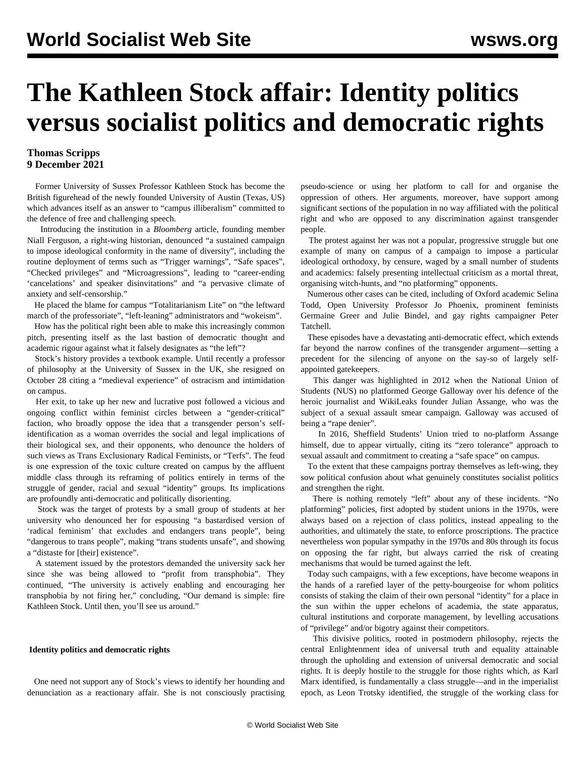# **The Kathleen Stock affair: Identity politics versus socialist politics and democratic rights**

### **Thomas Scripps 9 December 2021**

 Former University of Sussex Professor Kathleen Stock has become the British figurehead of the newly founded University of Austin (Texas, US) which advances itself as an answer to "campus illiberalism" committed to the defence of free and challenging speech.

 Introducing the institution in a *Bloomberg* article, founding member Niall Ferguson, a right-wing historian, denounced "a sustained campaign to impose ideological conformity in the name of diversity", including the routine deployment of terms such as "Trigger warnings", "Safe spaces", "Checked privileges" and "Microagressions", leading to "career-ending 'cancelations' and speaker disinvitations" and "a pervasive climate of anxiety and self-censorship."

 He placed the blame for campus "Totalitarianism Lite" on "the leftward march of the professoriate", "left-leaning" administrators and "wokeism".

 How has the political right been able to make this increasingly common pitch, presenting itself as the last bastion of democratic thought and academic rigour against what it falsely designates as "the left"?

 Stock's history provides a textbook example. Until recently a professor of philosophy at the University of Sussex in the UK, she resigned on October 28 citing a "medieval experience" of ostracism and intimidation on campus.

 Her exit, to take up her new and lucrative post followed a vicious and ongoing conflict within feminist circles between a "gender-critical" faction, who broadly oppose the idea that a transgender person's selfidentification as a woman overrides the social and legal implications of their biological sex, and their opponents, who denounce the holders of such views as Trans Exclusionary Radical Feminists, or "Terfs". The feud is one expression of the toxic culture created on campus by the affluent middle class through its reframing of politics entirely in terms of the struggle of gender, racial and sexual "identity" groups. Its implications are profoundly anti-democratic and politically disorienting.

 Stock was the target of protests by a small group of students at her university who denounced her for espousing "a bastardised version of 'radical feminism' that excludes and endangers trans people", being "dangerous to trans people", making "trans students unsafe", and showing a "distaste for [their] existence".

 A statement issued by the protestors demanded the university sack her since she was being allowed to "profit from transphobia". They continued, "The university is actively enabling and encouraging her transphobia by not firing her," concluding, "Our demand is simple: fire Kathleen Stock. Until then, you'll see us around."

#### **Identity politics and democratic rights**

 One need not support any of Stock's views to identify her hounding and denunciation as a reactionary affair. She is not consciously practising pseudo-science or using her platform to call for and organise the oppression of others. Her arguments, moreover, have support among significant sections of the population in no way affiliated with the political right and who are opposed to any discrimination against transgender people.

 The protest against her was not a popular, progressive struggle but one example of many on campus of a campaign to impose a particular ideological orthodoxy, by censure, waged by a small number of students and academics: falsely presenting intellectual criticism as a mortal threat, organising witch-hunts, and "no platforming" opponents.

 Numerous other cases can be cited, including of Oxford academic Selina Todd, Open University Professor Jo Phoenix, prominent feminists Germaine Greer and Julie Bindel, and gay rights campaigner Peter Tatchell.

 These episodes have a devastating anti-democratic effect, which extends far beyond the narrow confines of the transgender argument—setting a precedent for the silencing of anyone on the say-so of largely selfappointed gatekeepers.

 This danger was highlighted in 2012 when the National Union of Students (NUS) no platformed George Galloway over his defence of the heroic journalist and WikiLeaks founder Julian Assange, who was the subject of a sexual assault smear campaign. Galloway was accused of being a "rape denier".

 In 2016, Sheffield Students' Union tried to [no-platform](/en/articles/2016/05/24/assa-m24.html) Assange himself, due to appear virtually, citing its "zero tolerance" approach to sexual assault and commitment to creating a "safe space" on campus.

 To the extent that these campaigns portray themselves as left-wing, they sow political confusion about what genuinely constitutes socialist politics and strengthen the right.

 There is nothing remotely "left" about any of these incidents. "No platforming" policies, first adopted by student unions in the 1970s, were always based on a rejection of class politics, instead appealing to the authorities, and ultimately the state, to enforce proscriptions. The practice nevertheless won popular sympathy in the 1970s and 80s through its focus on opposing the far right, but always carried the risk of creating mechanisms that would be turned against the left.

 Today such campaigns, with a few exceptions, have become weapons in the hands of a rarefied layer of the petty-bourgeoise for whom politics consists of staking the claim of their own personal "identity" for a place in the sun within the upper echelons of academia, the state apparatus, cultural institutions and corporate management, by levelling accusations of "privilege" and/or bigotry against their competitors.

 This divisive politics, rooted in postmodern philosophy, rejects the central Enlightenment idea of universal truth and equality attainable through the upholding and extension of universal democratic and social rights. It is deeply hostile to the struggle for those rights which, as Karl Marx identified, is fundamentally a class struggle—and in the imperialist epoch, as Leon Trotsky identified, the struggle of the working class for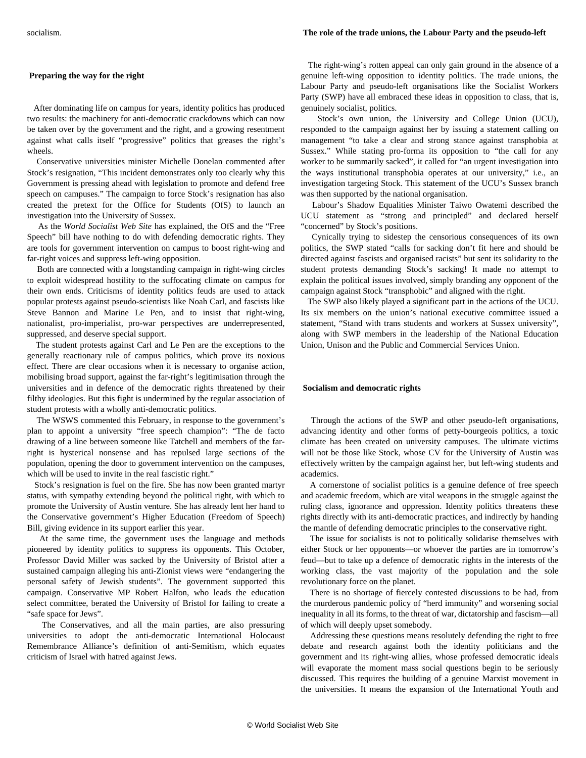#### **Preparing the way for the right**

 After dominating life on campus for years, identity politics has produced two results: the machinery for anti-democratic crackdowns which can now be taken over by the government and the right, and a growing resentment against what calls itself "progressive" politics that greases the right's wheels.

 Conservative universities minister Michelle Donelan commented after Stock's resignation, "This incident demonstrates only too clearly why this Government is pressing ahead with legislation to promote and defend free speech on campuses." The campaign to force Stock's resignation has also created the pretext for the Office for Students (OfS) to launch an investigation into the University of Sussex.

 As the *World Socialist Web Site* has explained, the OfS and the "Free Speech" bill have nothing to do with defending democratic rights. They are tools for government intervention on campus to boost right-wing and far-right voices and suppress left-wing opposition.

 Both are connected with a longstanding campaign in right-wing circles to [exploit](/en/articles/2020/08/26/aca2-a26.html) widespread hostility to the suffocating climate on campus for their own ends. Criticisms of identity politics feuds are used to attack popular protests against pseudo-scientists like [Noah Carl,](/en/articles/2019/06/20/euge-j20.html) and fascists like Steve Bannon and Marine Le Pen, and to insist that right-wing, nationalist, pro-imperialist, pro-war perspectives are underrepresented, suppressed, and deserve special support.

 The student protests against Carl and Le Pen are the exceptions to the generally reactionary rule of campus politics, which prove its noxious effect. There are clear occasions when it is necessary to organise action, mobilising broad support, against the far-right's legitimisation through the universities and in defence of the democratic rights threatened by their filthy ideologies. But this fight is undermined by the regular association of student protests with a wholly anti-democratic politics.

 The WSWS [commented](/en/articles/2021/02/18/free-j01.html) this February, in response to the government's plan to appoint a university "free speech champion": "The de facto drawing of a line between someone like Tatchell and members of the farright is hysterical nonsense and has repulsed large sections of the population, opening the door to government intervention on the campuses, which will be used to invite in the real fascistic right."

 Stock's resignation is fuel on the fire. She has now been granted martyr status, with sympathy extending beyond the political right, with which to promote the University of Austin venture. She has already lent her hand to the Conservative government's Higher Education (Freedom of Speech) Bill, giving evidence in its support earlier this year.

 At the same time, the government uses the language and methods pioneered by identity politics to suppress its opponents. This October, Professor David Miller was sacked by the University of Bristol after a sustained campaign alleging his anti-Zionist views were "endangering the personal safety of Jewish students". The government supported this campaign. Conservative MP Robert Halfon, who leads the education select committee, berated the University of Bristol for failing to create a "safe space for Jews".

 The Conservatives, and all the main parties, are also pressuring universities to adopt the anti-democratic International Holocaust Remembrance Alliance's definition of anti-Semitism, which equates criticism of Israel with hatred against Jews.

 The right-wing's rotten appeal can only gain ground in the absence of a genuine left-wing opposition to identity politics. The trade unions, the Labour Party and pseudo-left organisations like the Socialist Workers Party (SWP) have all embraced these ideas in opposition to class, that is, genuinely socialist, politics.

 Stock's own union, the University and College Union (UCU), responded to the campaign against her by issuing a statement calling on management "to take a clear and strong stance against transphobia at Sussex." While stating pro-forma its opposition to "the call for any worker to be summarily sacked", it called for "an urgent investigation into the ways institutional transphobia operates at our university," i.e., an investigation targeting Stock. This statement of the UCU's Sussex branch was then supported by the national organisation.

 Labour's Shadow Equalities Minister Taiwo Owatemi described the UCU statement as "strong and principled" and declared herself "concerned" by Stock's positions.

 Cynically trying to sidestep the censorious consequences of its own politics, the SWP stated "calls for sacking don't fit here and should be directed against fascists and organised racists" but sent its solidarity to the student protests demanding Stock's sacking! It made no attempt to explain the political issues involved, simply branding any opponent of the campaign against Stock "transphobic" and aligned with the right.

 The SWP also likely played a significant part in the actions of the UCU. Its six members on the union's national executive committee issued a statement, "Stand with trans students and workers at Sussex university", along with SWP members in the leadership of the National Education Union, Unison and the Public and Commercial Services Union.

#### **Socialism and democratic rights**

 Through the actions of the SWP and other pseudo-left organisations, advancing identity and other forms of petty-bourgeois politics, a toxic climate has been created on university campuses. The ultimate victims will not be those like Stock, whose CV for the University of Austin was effectively written by the campaign against her, but left-wing students and academics.

 A cornerstone of socialist politics is a genuine defence of free speech and academic freedom, which are vital weapons in the struggle against the ruling class, ignorance and oppression. Identity politics threatens these rights directly with its anti-democratic practices, and indirectly by handing the mantle of defending democratic principles to the conservative right.

 The issue for socialists is not to politically solidarise themselves with either Stock or her opponents—or whoever the parties are in tomorrow's feud—but to take up a defence of democratic rights in the interests of the working class, the vast majority of the population and the sole revolutionary force on the planet.

 There is no shortage of fiercely contested discussions to be had, from the murderous pandemic policy of "herd immunity" and worsening social inequality in all its forms, to the threat of war, dictatorship and fascism—all of which will deeply upset somebody.

 Addressing these questions means resolutely defending the right to free debate and research against both the identity politicians and the government and its right-wing allies, whose professed democratic ideals will evaporate the moment mass social questions begin to be seriously discussed. This requires the building of a genuine Marxist movement in the universities. It means the expansion of the [International Youth and](/en/special/pages/iysse/about.html)